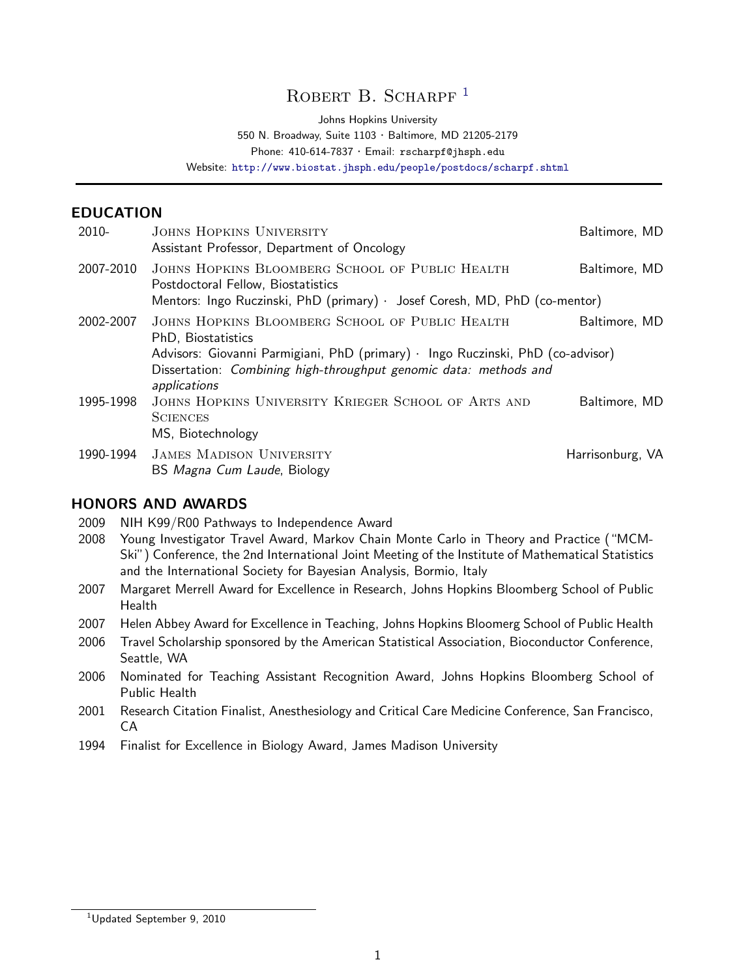# ROBERT B. SCHARPF<sup>[1](#page-0-0)</sup>

Johns Hopkins University

550 N. Broadway, Suite 1103 · Baltimore, MD 21205-2179

Phone: 410-614-7837 · Email: rscharpf@jhsph.edu

Website: <http://www.biostat.jhsph.edu/people/postdocs/scharpf.shtml>

### EDUCATION

| $2010 -$  | JOHNS HOPKINS UNIVERSITY<br>Assistant Professor, Department of Oncology                                                                                                                                                                                        | Baltimore, MD    |
|-----------|----------------------------------------------------------------------------------------------------------------------------------------------------------------------------------------------------------------------------------------------------------------|------------------|
| 2007-2010 | JOHNS HOPKINS BLOOMBERG SCHOOL OF PUBLIC HEALTH<br>Postdoctoral Fellow, Biostatistics<br>Mentors: Ingo Ruczinski, PhD (primary) · Josef Coresh, MD, PhD (co-mentor)                                                                                            | Baltimore, MD    |
| 2002-2007 | JOHNS HOPKINS BLOOMBERG SCHOOL OF PUBLIC HEALTH<br>Baltimore, MD<br>PhD, Biostatistics<br>Advisors: Giovanni Parmigiani, PhD (primary) · Ingo Ruczinski, PhD (co-advisor)<br>Dissertation: Combining high-throughput genomic data: methods and<br>applications |                  |
| 1995-1998 | JOHNS HOPKINS UNIVERSITY KRIEGER SCHOOL OF ARTS AND<br><b>SCIENCES</b><br>MS, Biotechnology                                                                                                                                                                    | Baltimore, MD    |
| 1990-1994 | <b>JAMES MADISON UNIVERSITY</b><br>BS Magna Cum Laude, Biology                                                                                                                                                                                                 | Harrisonburg, VA |

#### HONORS AND AWARDS

- 2009 NIH K99/R00 Pathways to Independence Award
- 2008 Young Investigator Travel Award, Markov Chain Monte Carlo in Theory and Practice ("MCM-Ski") Conference, the 2nd International Joint Meeting of the Institute of Mathematical Statistics and the International Society for Bayesian Analysis, Bormio, Italy
- 2007 Margaret Merrell Award for Excellence in Research, Johns Hopkins Bloomberg School of Public Health
- 2007 Helen Abbey Award for Excellence in Teaching, Johns Hopkins Bloomerg School of Public Health
- 2006 Travel Scholarship sponsored by the American Statistical Association, Bioconductor Conference, Seattle, WA
- 2006 Nominated for Teaching Assistant Recognition Award, Johns Hopkins Bloomberg School of Public Health
- 2001 Research Citation Finalist, Anesthesiology and Critical Care Medicine Conference, San Francisco, CA
- 1994 Finalist for Excellence in Biology Award, James Madison University

<span id="page-0-0"></span><sup>&</sup>lt;sup>1</sup>Updated September 9, 2010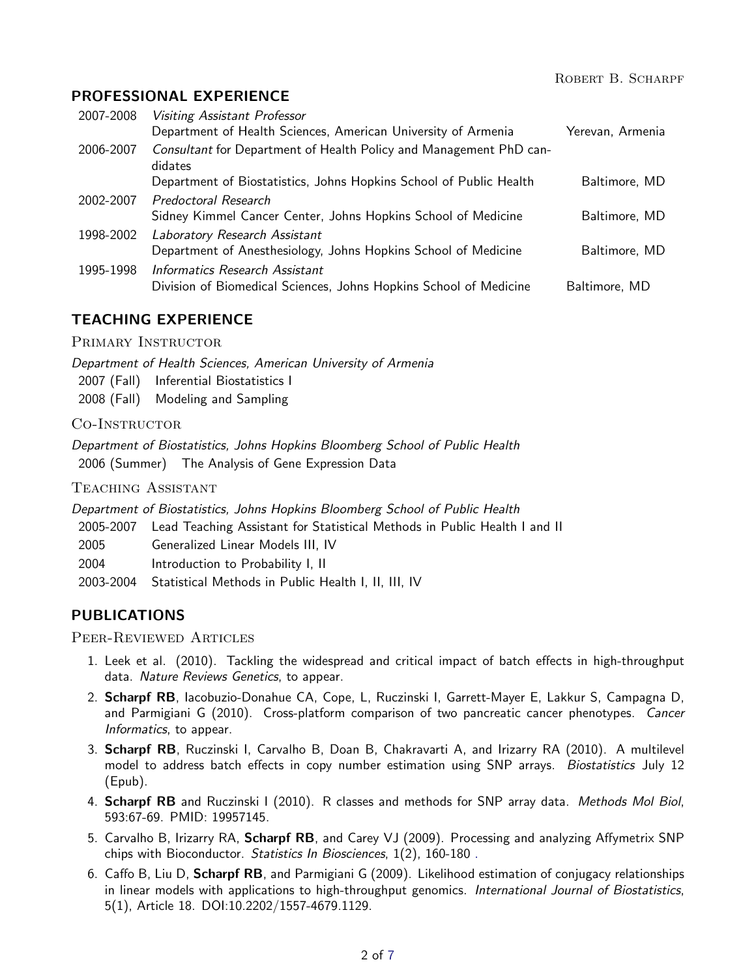## PROFESSIONAL EXPERIENCE

| 2007-2008 | Visiting Assistant Professor                                                                    |                  |
|-----------|-------------------------------------------------------------------------------------------------|------------------|
|           | Department of Health Sciences, American University of Armenia                                   | Yerevan, Armenia |
| 2006-2007 | Consultant for Department of Health Policy and Management PhD can-<br>didates                   |                  |
|           | Department of Biostatistics, Johns Hopkins School of Public Health                              | Baltimore, MD    |
| 2002-2007 | Predoctoral Research                                                                            |                  |
|           | Sidney Kimmel Cancer Center, Johns Hopkins School of Medicine                                   | Baltimore, MD    |
| 1998-2002 | Laboratory Research Assistant<br>Department of Anesthesiology, Johns Hopkins School of Medicine | Baltimore, MD    |
| 1995-1998 | Informatics Research Assistant                                                                  |                  |
|           | Division of Biomedical Sciences, Johns Hopkins School of Medicine                               | Baltimore, MD    |

## TEACHING EXPERIENCE

PRIMARY INSTRUCTOR

Department of Health Sciences, American University of Armenia

- 2007 (Fall) Inferential Biostatistics I
- 2008 (Fall) Modeling and Sampling

CO-INSTRUCTOR

Department of Biostatistics, Johns Hopkins Bloomberg School of Public Health 2006 (Summer) The Analysis of Gene Expression Data

Teaching Assistant

Department of Biostatistics, Johns Hopkins Bloomberg School of Public Health

2005-2007 Lead Teaching Assistant for Statistical Methods in Public Health I and II

2005 Generalized Linear Models III, IV

2004 Introduction to Probability I, II

2003-2004 Statistical Methods in Public Health I, II, III, IV

## PUBLICATIONS

Peer-Reviewed Articles

- 1. Leek et al. (2010). Tackling the widespread and critical impact of batch effects in high-throughput data. Nature Reviews Genetics, to appear.
- 2. Scharpf RB, Iacobuzio-Donahue CA, Cope, L, Ruczinski I, Garrett-Mayer E, Lakkur S, Campagna D, and Parmigiani G (2010). Cross-platform comparison of two pancreatic cancer phenotypes. Cancer Informatics, to appear.
- 3. Scharpf RB, Ruczinski I, Carvalho B, Doan B, Chakravarti A, and Irizarry RA (2010). A multilevel model to address batch effects in copy number estimation using SNP arrays. Biostatistics July 12 (Epub).
- 4. **Scharpf RB** and Ruczinski I (2010). R classes and methods for SNP array data. Methods Mol Biol, 593:67-69. PMID: 19957145.
- 5. Carvalho B, Irizarry RA, Scharpf RB, and Carey VJ (2009). Processing and analyzing Affymetrix SNP chips with Bioconductor. Statistics In Biosciences, 1(2), 160-180 [.](http://www.springerlink.com/content/82v196224u314602)
- 6. Caffo B, Liu D, Scharpf RB, and Parmigiani G (2009). Likelihood estimation of conjugacy relationships in linear models with applications to high-throughput genomics. International Journal of Biostatistics, 5(1), Article 18. DOI:10.2202/1557-4679.1129.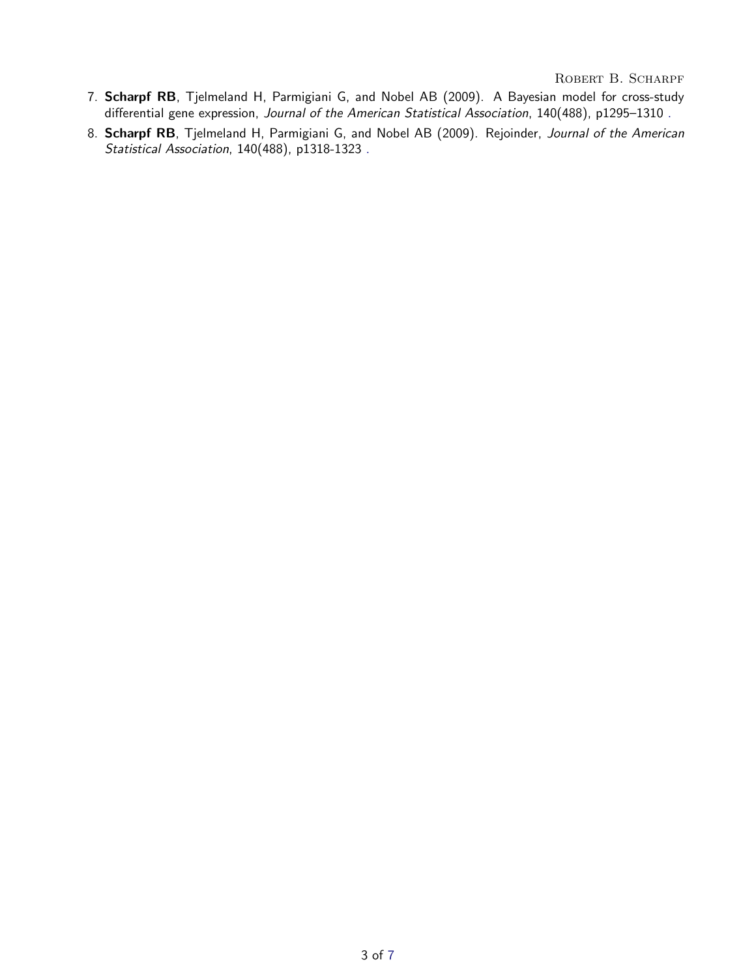ROBERT B. SCHARPF

- 7. Scharpf RB, Tjelmeland H, Parmigiani G, and Nobel AB (2009). A Bayesian model for cross-study differential gene expression, Journal of the American Statistical Association, 140(488), p1295–1310 [.](http://pubs.amstat.org/toc/jasa/104/488)
- 8. Scharpf RB, Tjelmeland H, Parmigiani G, and Nobel AB (2009). Rejoinder, Journal of the American Statistical Association, 140(488), p1318-1323 [.](http://pubs.amstat.org/toc/jasa/104/488)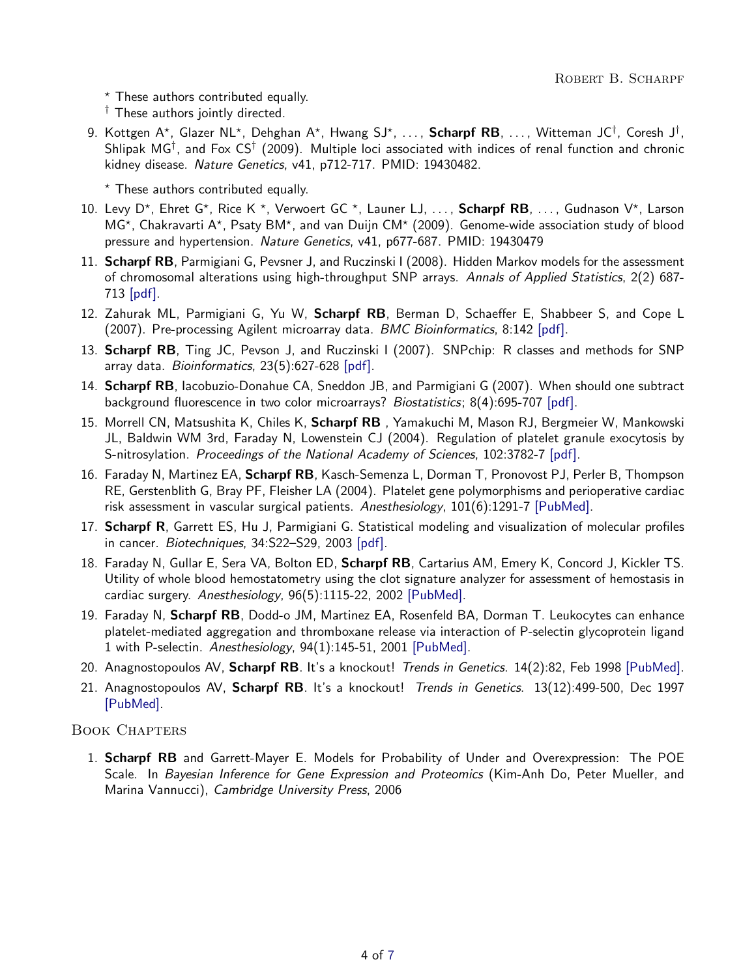$*$  These authors contributed equally.

† These authors jointly directed.

9. Kottgen A\*, Glazer NL\*, Dehghan A\*, Hwang SJ\*, ..., **Scharpf RB**, ..., Witteman JC<sup>†</sup>, Coresh J<sup>†</sup>, Shlipak MG<sup>†</sup>, and Fox CS<sup>†</sup> (2009). Multiple loci associated with indices of renal function and chronic kidney disease. Nature Genetics, v41, p712-717. PMID: 19430482.

 $*$  These authors contributed equally.

- 10. Levy D\*, Ehret G\*, Rice K \*, Verwoert GC \*, Launer LJ, ..., Scharpf RB, ..., Gudnason V\*, Larson MG\*, Chakravarti A\*, Psaty BM\*, and van Duijn CM\* (2009). Genome-wide association study of blood pressure and hypertension. Nature Genetics, v41, p677-687. PMID: 19430479
- 11. Scharpf RB, Parmigiani G, Pevsner J, and Ruczinski I (2008). Hidden Markov models for the assessment of chromosomal alterations using high-throughput SNP arrays. Annals of Applied Statistics, 2(2) 687-713 [\[pdf\].](http://dx.doi.org/10.1214/07-AOAS155)
- 12. Zahurak ML, Parmigiani G, Yu W, Scharpf RB, Berman D, Schaeffer E, Shabbeer S, and Cope L (2007). Pre-processing Agilent microarray data. BMC Bioinformatics, 8:142 [\[pdf\].](http://www.biomedcentral.com/content/pdf/1471-2105-8-142.pdf)
- 13. Scharpf RB, Ting JC, Pevson J, and Ruczinski I (2007). SNPchip: R classes and methods for SNP array data. Bioinformatics, 23(5):627-628 [\[pdf\].](http://bioinformatics.oxfordjournals.org/cgi/reprint/btl638?ijkey=xGC8lgNLnzoEzA7&keytype=ref)
- 14. Scharpf RB, Iacobuzio-Donahue CA, Sneddon JB, and Parmigiani G (2007). When should one subtract background fluorescence in two color microarrays? Biostatistics; 8(4):695-707 [\[pdf\].](http://biostatistics.oxfordjournals.org/cgi/reprint/kxl041?ijkey=ErbzQQNm8DZRIhR&keytype=ref)
- 15. Morrell CN, Matsushita K, Chiles K, Scharpf RB, Yamakuchi M, Mason RJ, Bergmeier W, Mankowski JL, Baldwin WM 3rd, Faraday N, Lowenstein CJ (2004). Regulation of platelet granule exocytosis by S-nitrosylation. Proceedings of the National Academy of Sciences, 102:3782-7 [\[pdf\].](http://www.pnas.org/content/102/10/3782.full.pdf+html)
- 16. Faraday N, Martinez EA, Scharpf RB, Kasch-Semenza L, Dorman T, Pronovost PJ, Perler B, Thompson RE, Gerstenblith G, Bray PF, Fleisher LA (2004). Platelet gene polymorphisms and perioperative cardiac risk assessment in vascular surgical patients. Anesthesiology, 101(6):1291-7 [\[PubMed\].](http://www.ncbi.nlm.nih.gov/pubmed/15564935)
- 17. Scharpf R, Garrett ES, Hu J, Parmigiani G. Statistical modeling and visualization of molecular profiles in cancer. Biotechniques, 34:S22–S29, 2003 [\[pdf\].](http://www.biotechniques.com/article.asp?id=31200353)
- 18. Faraday N, Gullar E, Sera VA, Bolton ED, Scharpf RB, Cartarius AM, Emery K, Concord J, Kickler TS. Utility of whole blood hemostatometry using the clot signature analyzer for assessment of hemostasis in cardiac surgery. Anesthesiology, 96(5):1115-22, 2002 [\[PubMed\].](http://www.ncbi.nlm.nih.gov/pubmed/11981151)
- 19. Faraday N, Scharpf RB, Dodd-o JM, Martinez EA, Rosenfeld BA, Dorman T. Leukocytes can enhance platelet-mediated aggregation and thromboxane release via interaction of P-selectin glycoprotein ligand 1 with P-selectin. Anesthesiology, 94(1):145-51, 2001 [\[PubMed\].](http://www.ncbi.nlm.nih.gov/pubmed/11135734)
- 20. Anagnostopoulos AV, Scharpf RB. It's a knockout! Trends in Genetics. 14(2):82, Feb 1998 [\[PubMed\].](http://www.ncbi.nlm.nih.gov/pubmed/9520603)
- 21. Anagnostopoulos AV, Scharpf RB. It's a knockout! Trends in Genetics. 13(12):499-500, Dec 1997 [\[PubMed\].](http://www.ncbi.nlm.nih.gov/pubmed/9433143)

Book Chapters

1. Scharpf RB and Garrett-Mayer E. Models for Probability of Under and Overexpression: The POE Scale. In Bayesian Inference for Gene Expression and Proteomics (Kim-Anh Do, Peter Mueller, and Marina Vannucci), Cambridge University Press, 2006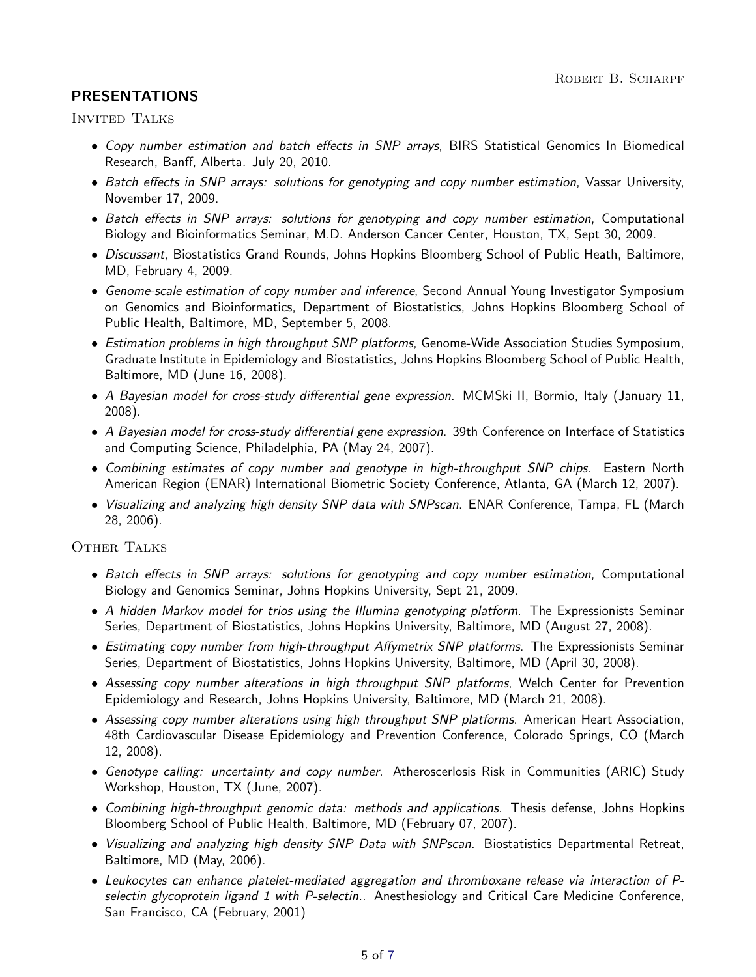## PRESENTATIONS

Invited Talks

- Copy number estimation and batch effects in SNP arrays, BIRS Statistical Genomics In Biomedical Research, Banff, Alberta. July 20, 2010.
- Batch effects in SNP arrays: solutions for genotyping and copy number estimation, Vassar University, November 17, 2009.
- Batch effects in SNP arrays: solutions for genotyping and copy number estimation, Computational Biology and Bioinformatics Seminar, M.D. Anderson Cancer Center, Houston, TX, Sept 30, 2009.
- Discussant, Biostatistics Grand Rounds, Johns Hopkins Bloomberg School of Public Heath, Baltimore, MD, February 4, 2009.
- Genome-scale estimation of copy number and inference, Second Annual Young Investigator Symposium on Genomics and Bioinformatics, Department of Biostatistics, Johns Hopkins Bloomberg School of Public Health, Baltimore, MD, September 5, 2008.
- Estimation problems in high throughput SNP platforms, Genome-Wide Association Studies Symposium, Graduate Institute in Epidemiology and Biostatistics, Johns Hopkins Bloomberg School of Public Health, Baltimore, MD (June 16, 2008).
- A Bayesian model for cross-study differential gene expression. MCMSki II, Bormio, Italy (January 11, 2008).
- A Bayesian model for cross-study differential gene expression. 39th Conference on Interface of Statistics and Computing Science, Philadelphia, PA (May 24, 2007).
- Combining estimates of copy number and genotype in high-throughput SNP chips. Eastern North American Region (ENAR) International Biometric Society Conference, Atlanta, GA (March 12, 2007).
- Visualizing and analyzing high density SNP data with SNPscan. ENAR Conference, Tampa, FL (March 28, 2006).

OTHER TALKS

- Batch effects in SNP arrays: solutions for genotyping and copy number estimation, Computational Biology and Genomics Seminar, Johns Hopkins University, Sept 21, 2009.
- A hidden Markov model for trios using the Illumina genotyping platform. The Expressionists Seminar Series, Department of Biostatistics, Johns Hopkins University, Baltimore, MD (August 27, 2008).
- Estimating copy number from high-throughput Affymetrix SNP platforms. The Expressionists Seminar Series, Department of Biostatistics, Johns Hopkins University, Baltimore, MD (April 30, 2008).
- Assessing copy number alterations in high throughput SNP platforms, Welch Center for Prevention Epidemiology and Research, Johns Hopkins University, Baltimore, MD (March 21, 2008).
- Assessing copy number alterations using high throughput SNP platforms. American Heart Association, 48th Cardiovascular Disease Epidemiology and Prevention Conference, Colorado Springs, CO (March 12, 2008).
- Genotype calling: uncertainty and copy number. Atheroscerlosis Risk in Communities (ARIC) Study Workshop, Houston, TX (June, 2007).
- Combining high-throughput genomic data: methods and applications. Thesis defense, Johns Hopkins Bloomberg School of Public Health, Baltimore, MD (February 07, 2007).
- Visualizing and analyzing high density SNP Data with SNPscan. Biostatistics Departmental Retreat, Baltimore, MD (May, 2006).
- Leukocytes can enhance platelet-mediated aggregation and thromboxane release via interaction of Pselectin glycoprotein ligand 1 with P-selectin. Anesthesiology and Critical Care Medicine Conference, San Francisco, CA (February, 2001)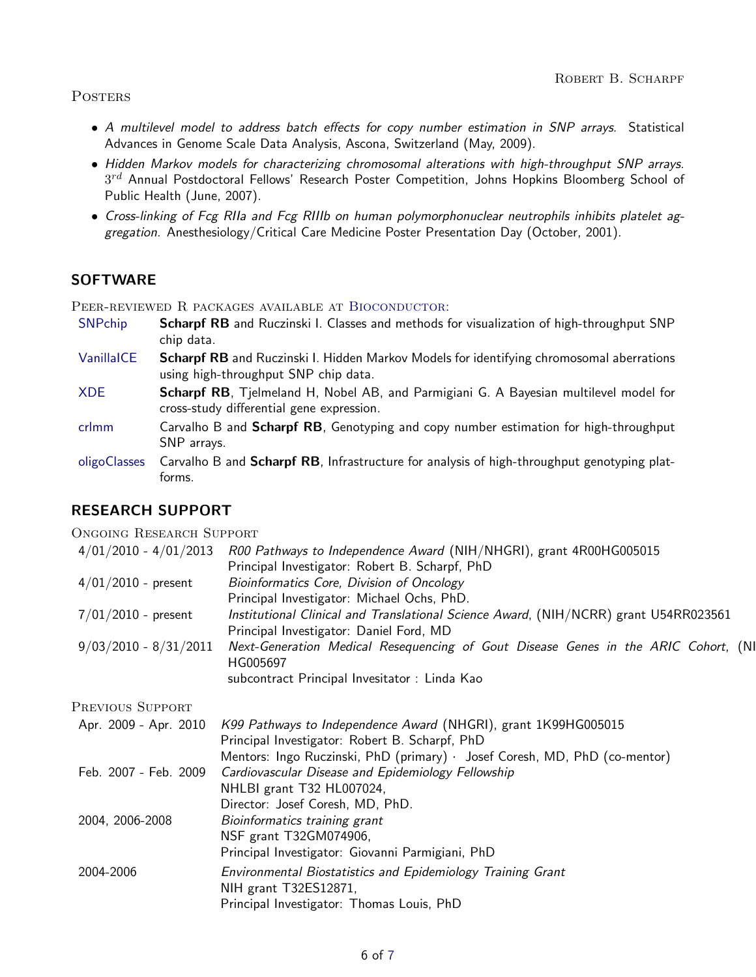#### **POSTERS**

- A multilevel model to address batch effects for copy number estimation in SNP arrays. Statistical Advances in Genome Scale Data Analysis, Ascona, Switzerland (May, 2009).
- Hidden Markov models for characterizing chromosomal alterations with high-throughput SNP arrays.  $3^{rd}$  Annual Postdoctoral Fellows' Research Poster Competition, Johns Hopkins Bloomberg School of Public Health (June, 2007).
- Cross-linking of Fcg RIIa and Fcg RIIIb on human polymorphonuclear neutrophils inhibits platelet aggregation. Anesthesiology/Critical Care Medicine Poster Presentation Day (October, 2001).

## **SOFTWARE**

PEER-REVIEWED R PACKAGES AVAILABLE AT BIOCONDUCTOR:

- [SNPchip](http://www.bioconductor.org/packages/2.4/bioc/html/SNPchip.html) **Scharpf RB** and Ruczinski I. Classes and methods for visualization of high-throughput SNP chip data.
- [VanillaICE](http://www.bioconductor.org/packages/2.4/bioc/html/VanillaICE.html) Scharpf RB and Ruczinski I. Hidden Markov Models for identifying chromosomal aberrations using high-throughput SNP chip data.
- [XDE](http://www.bioconductor.org/packages/2.4/bioc/html/XDE) **Scharpf RB**, Tjelmeland H, Nobel AB, and Parmigiani G. A Bayesian multilevel model for cross-study differential gene expression.
- [crlmm](http://www.bioconductor.org/packages/2.4/bioc/html/crlmm) Carvalho B and **Scharpf RB**, Genotyping and copy number estimation for high-throughput SNP arrays.
- [oligoClasses](http://www.bioconductor.org/packages/2.4/bioc/html/oligoClasses) Carvalho B and Scharpf RB, Infrastructure for analysis of high-throughput genotyping platforms.

## RESEARCH SUPPORT

#### ONGOING RESEARCH SUPPORT

| $4/01/2010$ - $4/01/2013$ | R00 Pathways to Independence Award (NIH/NHGRI), grant 4R00HG005015                   |
|---------------------------|--------------------------------------------------------------------------------------|
|                           | Principal Investigator: Robert B. Scharpf, PhD                                       |
| $4/01/2010$ - present     | Bioinformatics Core, Division of Oncology                                            |
|                           | Principal Investigator: Michael Ochs, PhD.                                           |
| $7/01/2010$ - present     | Institutional Clinical and Translational Science Award, (NIH/NCRR) grant U54RR023561 |
|                           | Principal Investigator: Daniel Ford, MD                                              |
| $9/03/2010 - 8/31/2011$   | Next-Generation Medical Resequencing of Gout Disease Genes in the ARIC Cohort, (NI   |
|                           | HG005697                                                                             |
|                           | subcontract Principal Invesitator : Linda Kao                                        |

Previous Support

|                 | Apr. 2009 - Apr. 2010 K99 Pathways to Independence Award (NHGRI), grant 1K99HG005015<br>Principal Investigator: Robert B. Scharpf, PhD |
|-----------------|----------------------------------------------------------------------------------------------------------------------------------------|
|                 | Mentors: Ingo Ruczinski, PhD (primary) · Josef Coresh, MD, PhD (co-mentor)                                                             |
|                 | Feb. 2007 - Feb. 2009 Cardiovascular Disease and Epidemiology Fellowship                                                               |
|                 | NHLBI grant T32 HL007024,                                                                                                              |
|                 | Director: Josef Coresh, MD, PhD.                                                                                                       |
| 2004, 2006-2008 | Bioinformatics training grant                                                                                                          |
|                 | NSF grant T32GM074906,                                                                                                                 |
|                 | Principal Investigator: Giovanni Parmigiani, PhD                                                                                       |
| 2004-2006       | Environmental Biostatistics and Epidemiology Training Grant<br>NIH grant T32ES12871,                                                   |
|                 | Principal Investigator: Thomas Louis, PhD                                                                                              |